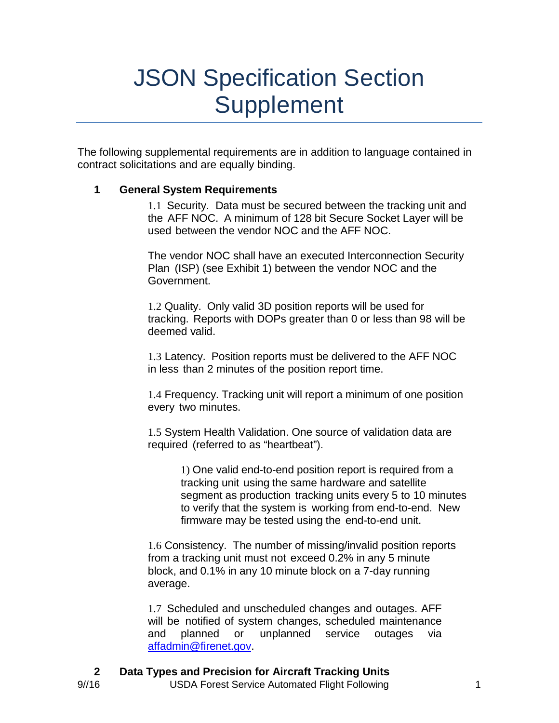# JSON Specification Section Supplement

The following supplemental requirements are in addition to language contained in contract solicitations and are equally binding.

#### **1 General System Requirements**

1.1 Security. Data must be secured between the tracking unit and the AFF NOC. A minimum of 128 bit Secure Socket Layer will be used between the vendor NOC and the AFF NOC.

The vendor NOC shall have an executed Interconnection Security Plan (ISP) (see Exhibit 1) between the vendor NOC and the Government.

1.2 Quality. Only valid 3D position reports will be used for tracking. Reports with DOPs greater than 0 or less than 98 will be deemed valid.

1.3 Latency. Position reports must be delivered to the AFF NOC in less than 2 minutes of the position report time.

1.4 Frequency. Tracking unit will report a minimum of one position every two minutes.

1.5 System Health Validation. One source of validation data are required (referred to as "heartbeat").

> 1) One valid end-to-end position report is required from a tracking unit using the same hardware and satellite segment as production tracking units every 5 to 10 minutes to verify that the system is working from end-to-end. New firmware may be tested using the end-to-end unit.

1.6 Consistency. The number of missing/invalid position reports from a tracking unit must not exceed 0.2% in any 5 minute block, and 0.1% in any 10 minute block on a 7-day running average.

1.7 Scheduled and unscheduled changes and outages. AFF will be notified of system changes, scheduled maintenance and planned or unplanned service outages via [affadmin@firenet.gov.](mailto:affadmin@firenet.gov)

**2 Data Types and Precision for Aircraft Tracking Units**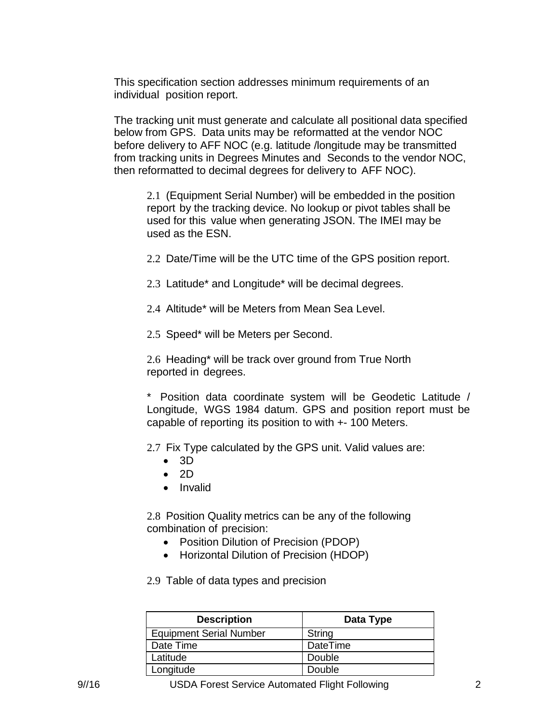This specification section addresses minimum requirements of an individual position report.

The tracking unit must generate and calculate all positional data specified below from GPS. Data units may be reformatted at the vendor NOC before delivery to AFF NOC (e.g. latitude /longitude may be transmitted from tracking units in Degrees Minutes and Seconds to the vendor NOC, then reformatted to decimal degrees for delivery to AFF NOC).

2.1 (Equipment Serial Number) will be embedded in the position report by the tracking device. No lookup or pivot tables shall be used for this value when generating JSON. The IMEI may be used as the ESN.

2.2 Date/Time will be the UTC time of the GPS position report.

- 2.3 Latitude\* and Longitude\* will be decimal degrees.
- 2.4 Altitude\* will be Meters from Mean Sea Level.
- 2.5 Speed\* will be Meters per Second.

2.6 Heading\* will be track over ground from True North reported in degrees.

\* Position data coordinate system will be Geodetic Latitude / Longitude, WGS 1984 datum. GPS and position report must be capable of reporting its position to with +- 100 Meters.

2.7 Fix Type calculated by the GPS unit. Valid values are:

- $\bullet$  3D
- $\bullet$  2D
- Invalid

2.8 Position Quality metrics can be any of the following combination of precision:

- Position Dilution of Precision (PDOP)
- Horizontal Dilution of Precision (HDOP)

2.9 Table of data types and precision

| <b>Description</b>             | Data Type       |
|--------------------------------|-----------------|
| <b>Equipment Serial Number</b> | String          |
| Date Time                      | <b>DateTime</b> |
| Latitude                       | Double          |
| Longitude                      | Double          |

9//16 USDA Forest Service Automated Flight Following 2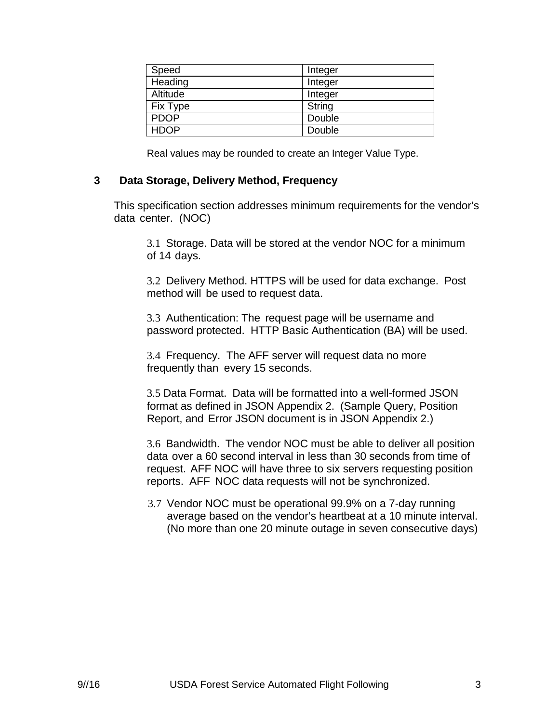| Speed       | Integer |
|-------------|---------|
| Heading     | Integer |
| Altitude    | Integer |
| Fix Type    | String  |
| <b>PDOP</b> | Double  |
| <b>HDOP</b> | Double  |

Real values may be rounded to create an Integer Value Type.

#### **3 Data Storage, Delivery Method, Frequency**

This specification section addresses minimum requirements for the vendor's data center. (NOC)

3.1 Storage. Data will be stored at the vendor NOC for a minimum of 14 days.

3.2 Delivery Method. HTTPS will be used for data exchange. Post method will be used to request data.

3.3 Authentication: The request page will be username and password protected. HTTP Basic Authentication (BA) will be used.

3.4 Frequency. The AFF server will request data no more frequently than every 15 seconds.

3.5 Data Format. Data will be formatted into a well-formed JSON format as defined in JSON Appendix 2. (Sample Query, Position Report, and Error JSON document is in JSON Appendix 2.)

3.6 Bandwidth. The vendor NOC must be able to deliver all position data over a 60 second interval in less than 30 seconds from time of request. AFF NOC will have three to six servers requesting position reports. AFF NOC data requests will not be synchronized.

3.7 Vendor NOC must be operational 99.9% on a 7-day running average based on the vendor's heartbeat at a 10 minute interval. (No more than one 20 minute outage in seven consecutive days)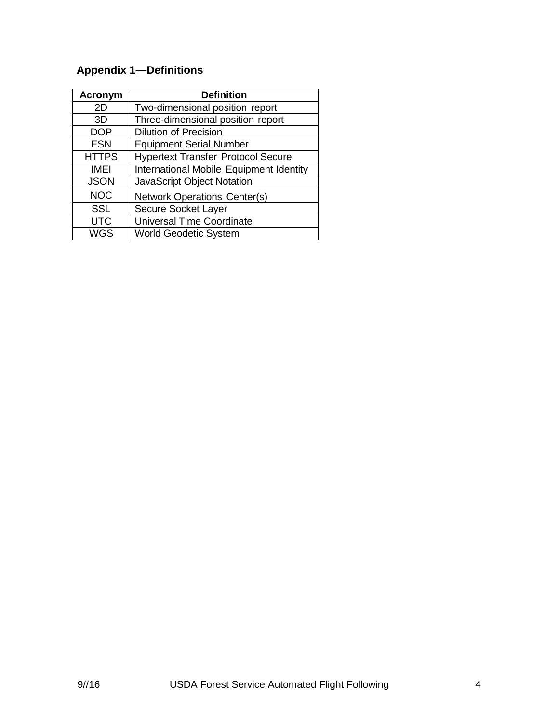# **Appendix 1—Definitions**

| <b>Acronym</b> | <b>Definition</b>                         |
|----------------|-------------------------------------------|
| 2D             | Two-dimensional position report           |
| 3D             | Three-dimensional position report         |
| <b>DOP</b>     | <b>Dilution of Precision</b>              |
| <b>ESN</b>     | <b>Equipment Serial Number</b>            |
| <b>HTTPS</b>   | <b>Hypertext Transfer Protocol Secure</b> |
| <b>IMEI</b>    | International Mobile Equipment Identity   |
| <b>JSON</b>    | <b>JavaScript Object Notation</b>         |
| <b>NOC</b>     | <b>Network Operations Center(s)</b>       |
| <b>SSL</b>     | Secure Socket Layer                       |
| <b>UTC</b>     | <b>Universal Time Coordinate</b>          |
| WGS            | <b>World Geodetic System</b>              |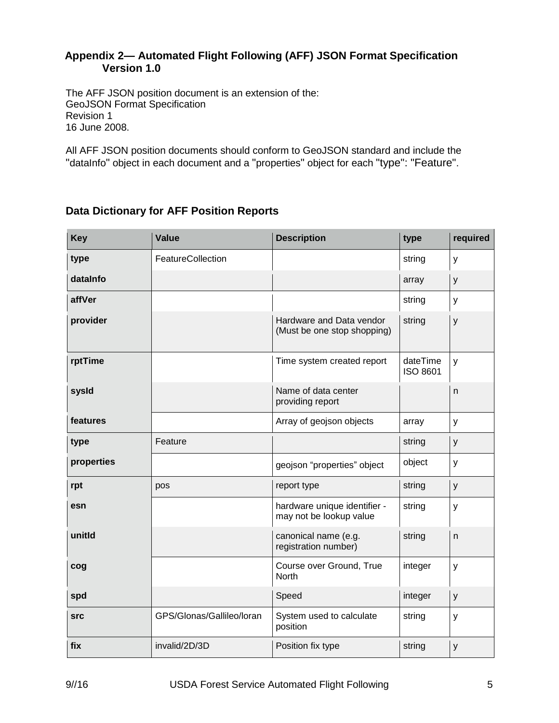#### **Appendix 2— Automated Flight Following (AFF) JSON Format Specification Version 1.0**

The AFF JSON position document is an extension of the: GeoJSON Format Specification Revision 1 16 June 2008.

All AFF JSON position documents should conform to GeoJSON standard and include the "dataInfo" object in each document and a "properties" object for each "type": "Feature".

# **Key** *Value* **Description type required type FeatureCollection String y FeatureCollection string** y **dataInfo** array array years are all the contract of the contract of the contract of the contract of the contract of the contract of the contract of the contract of the contract of the contract of the contract of the contr **affVer** string years and the string string years of the string string string string string string string string **provider Hardware and Data vendor** (Must be one stop shopping) string y **rptTime** Time system created report dateTime ISO 8601 y **sysId** Name of data center providing report n **features** Array of geojson objects array y **type** Feature Feature string y **properties** and the set of the set of the sequence of the set of the set of the set of the set of the set of the set of the set of the set of the set of the set of the set of the set of the set of the set of the set of th **rpt pos** *pos pos pos positype string y* **esn esn hardware unique identifier** may not be lookup value string y **unitId** canonical name (e.g. registration number) string n **cog** Course over Ground, True **North**  $integer$   $|y|$ **spd** integer  $\vert$  speed integer  $\vert$  y **src** GPS/Glonas/Gallileo/loran System used to calculate position string y **fix** invalid/2D/3D Position fix type string y

# **Data Dictionary for AFF Position Reports**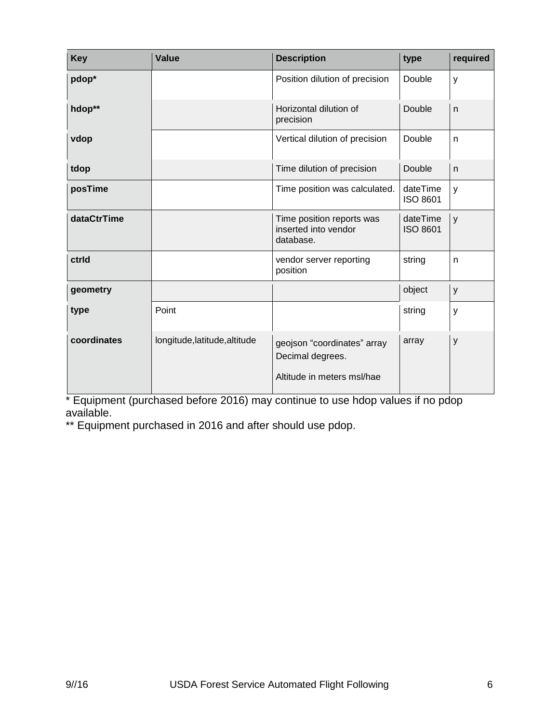| <b>Key</b>  | <b>Value</b>                  | <b>Description</b>                                                            | type                        | required |
|-------------|-------------------------------|-------------------------------------------------------------------------------|-----------------------------|----------|
| pdop*       |                               | Position dilution of precision                                                | Double                      | y        |
| hdop**      |                               | Horizontal dilution of<br>precision                                           | Double                      | n        |
| vdop        |                               | Vertical dilution of precision                                                | Double                      | n        |
| tdop        |                               | Time dilution of precision                                                    | Double                      | n.       |
| posTime     |                               | Time position was calculated.                                                 | dateTime<br><b>ISO 8601</b> | У        |
| dataCtrTime |                               | Time position reports was<br>inserted into vendor<br>database.                | dateTime<br><b>ISO 8601</b> | y        |
| ctrid       |                               | vendor server reporting<br>position                                           | string                      | n        |
| geometry    |                               |                                                                               | object                      | y        |
| type        | Point                         |                                                                               | string                      | y        |
| coordinates | longitude, latitude, altitude | geojson "coordinates" array<br>Decimal degrees.<br>Altitude in meters msl/hae | array                       | y        |

\* Equipment (purchased before 2016) may continue to use hdop values if no pdop available.

\*\* Equipment purchased in 2016 and after should use pdop.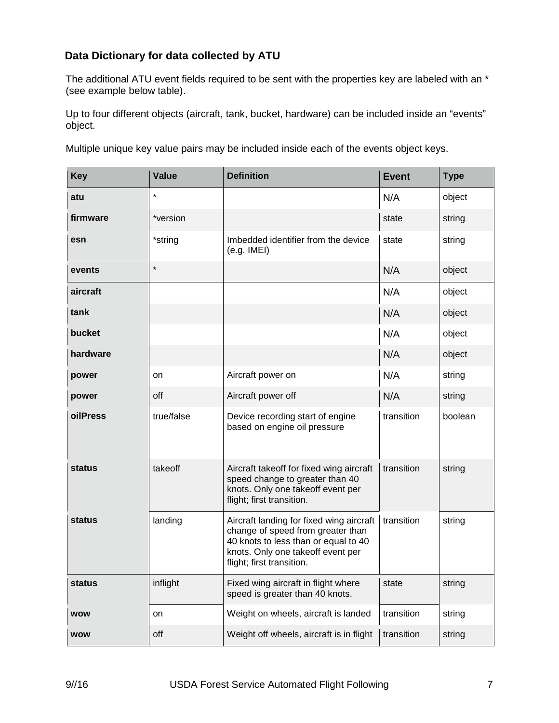# **Data Dictionary for data collected by ATU**

The additional ATU event fields required to be sent with the properties key are labeled with an \* (see example below table).

Up to four different objects (aircraft, tank, bucket, hardware) can be included inside an "events" object.

Multiple unique key value pairs may be included inside each of the events object keys.

| <b>Key</b>    | <b>Value</b> | <b>Definition</b>                                                                                                                                                                       | <b>Event</b> | <b>Type</b> |
|---------------|--------------|-----------------------------------------------------------------------------------------------------------------------------------------------------------------------------------------|--------------|-------------|
| atu           | $\star$      |                                                                                                                                                                                         | N/A          | object      |
| firmware      | *version     |                                                                                                                                                                                         | state        | string      |
| esn           | *string      | Imbedded identifier from the device<br>(e.g. IME)                                                                                                                                       | state        | string      |
| events        | $\star$      |                                                                                                                                                                                         | N/A          | object      |
| aircraft      |              |                                                                                                                                                                                         | N/A          | object      |
| tank          |              |                                                                                                                                                                                         | N/A          | object      |
| bucket        |              |                                                                                                                                                                                         | N/A          | object      |
| hardware      |              |                                                                                                                                                                                         | N/A          | object      |
| power         | on           | Aircraft power on                                                                                                                                                                       | N/A          | string      |
| power         | off          | Aircraft power off                                                                                                                                                                      | N/A          | string      |
| oilPress      | true/false   | Device recording start of engine<br>based on engine oil pressure                                                                                                                        | transition   | boolean     |
| <b>status</b> | takeoff      | Aircraft takeoff for fixed wing aircraft<br>speed change to greater than 40<br>knots. Only one takeoff event per<br>flight; first transition.                                           | transition   | string      |
| status        | landing      | Aircraft landing for fixed wing aircraft<br>change of speed from greater than<br>40 knots to less than or equal to 40<br>knots. Only one takeoff event per<br>flight; first transition. | transition   | string      |
| status        | inflight     | Fixed wing aircraft in flight where<br>speed is greater than 40 knots.                                                                                                                  | state        | string      |
| <b>WOW</b>    | on           | Weight on wheels, aircraft is landed                                                                                                                                                    | transition   | string      |
| <b>WOW</b>    | off          | Weight off wheels, aircraft is in flight                                                                                                                                                | transition   | string      |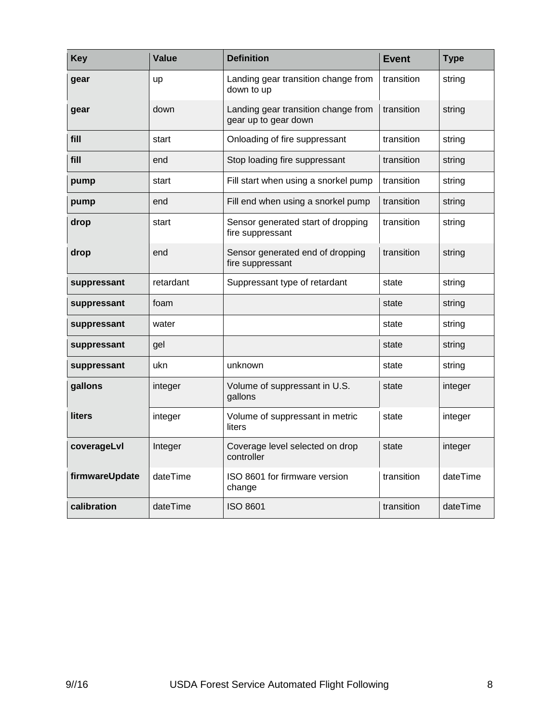| <b>Key</b>     | <b>Value</b> | <b>Definition</b>                                           | <b>Event</b> | <b>Type</b> |
|----------------|--------------|-------------------------------------------------------------|--------------|-------------|
| gear           | up           | Landing gear transition change from<br>down to up           | transition   | string      |
| gear           | down         | Landing gear transition change from<br>gear up to gear down | transition   | string      |
| fill           | start        | Onloading of fire suppressant                               | transition   | string      |
| fill           | end          | Stop loading fire suppressant                               | transition   | string      |
| pump           | start        | Fill start when using a snorkel pump                        | transition   | string      |
| pump           | end          | Fill end when using a snorkel pump                          | transition   | string      |
| drop           | start        | Sensor generated start of dropping<br>fire suppressant      | transition   | string      |
| drop           | end          | Sensor generated end of dropping<br>fire suppressant        | transition   | string      |
| suppressant    | retardant    | Suppressant type of retardant                               | state        | string      |
| suppressant    | foam         |                                                             | state        | string      |
| suppressant    | water        |                                                             | state        | string      |
| suppressant    | gel          |                                                             | state        | string      |
| suppressant    | ukn          | unknown                                                     | state        | string      |
| gallons        | integer      | Volume of suppressant in U.S.<br>gallons                    | state        | integer     |
| liters         | integer      | Volume of suppressant in metric<br>liters                   | state        | integer     |
| coverageLvl    | Integer      | Coverage level selected on drop<br>controller               | state        | integer     |
| firmwareUpdate | dateTime     | ISO 8601 for firmware version<br>change                     | transition   | dateTime    |
| calibration    | dateTime     | <b>ISO 8601</b>                                             | transition   | dateTime    |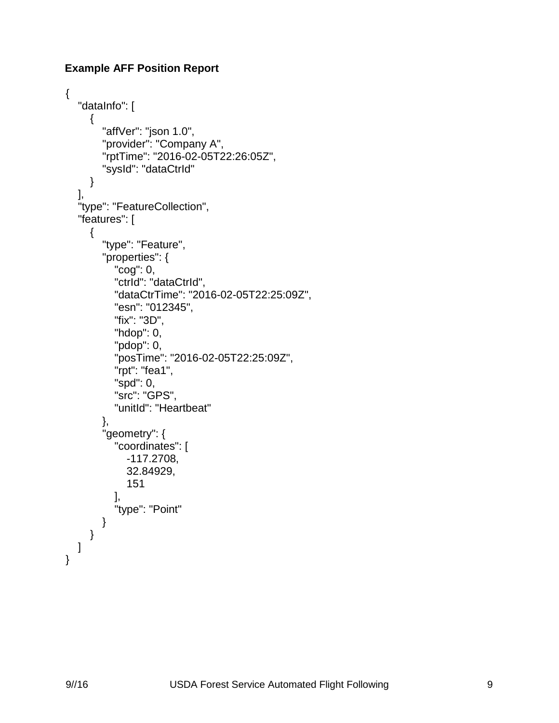#### **Example AFF Position Report**

```
{
    "dataInfo": [
      {
         "affVer": "json 1.0",
         "provider": "Company A",
         "rptTime": "2016-02-05T22:26:05Z",
         "sysId": "dataCtrId"
      }
   ],
    "type": "FeatureCollection",
    "features": [
      {
         "type": "Feature",
         "properties": {
            "cog": 0,
            "ctrId": "dataCtrId",
            "dataCtrTime": "2016-02-05T22:25:09Z",
            "esn": "012345",
            "fix": "3D",
            "hdop": 0,
            "pdop": 0,
            "posTime": "2016-02-05T22:25:09Z",
            "rpt": "fea1",
            "spd": 0,
            "src": "GPS",
            "unitId": "Heartbeat"
         },
         "geometry": {
            "coordinates": [
               -117.2708,
               32.84929,
               151
            ],
            "type": "Point"
         }
      }
   ]
}
```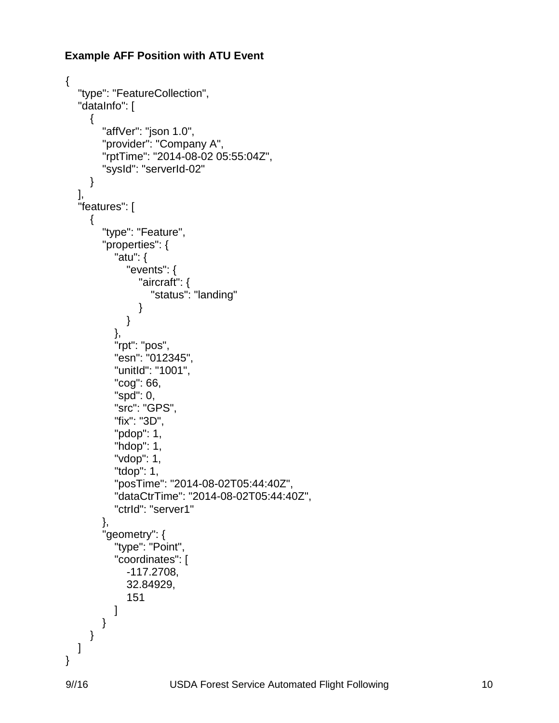#### **Example AFF Position with ATU Event**

```
{
   "type": "FeatureCollection",
    "dataInfo": [
      {
         "affVer": "json 1.0",
         "provider": "Company A",
         "rptTime": "2014-08-02 05:55:04Z",
         "sysId": "serverId-02"
      }
   ],
   "features": [
      {
         "type": "Feature",
         "properties": {
           "atu": {
              "events": {
                 "aircraft": {
                    "status": "landing"
 }
 }
           },
           "rpt": "pos",
           "esn": "012345",
           "unitId": "1001",
           "cog": 66,
           "spd": 0,
           "src": "GPS",
           "fix": "3D",
           "pdop": 1,
           "hdop": 1,
           "vdop": 1,
           "tdop": 1,
           "posTime": "2014-08-02T05:44:40Z",
           "dataCtrTime": "2014-08-02T05:44:40Z",
           "ctrId": "server1"
         },
         "geometry": {
           "type": "Point",
            "coordinates": [
              -117.2708,
              32.84929,
              151
 ]
        }
      }
   ]
}
```